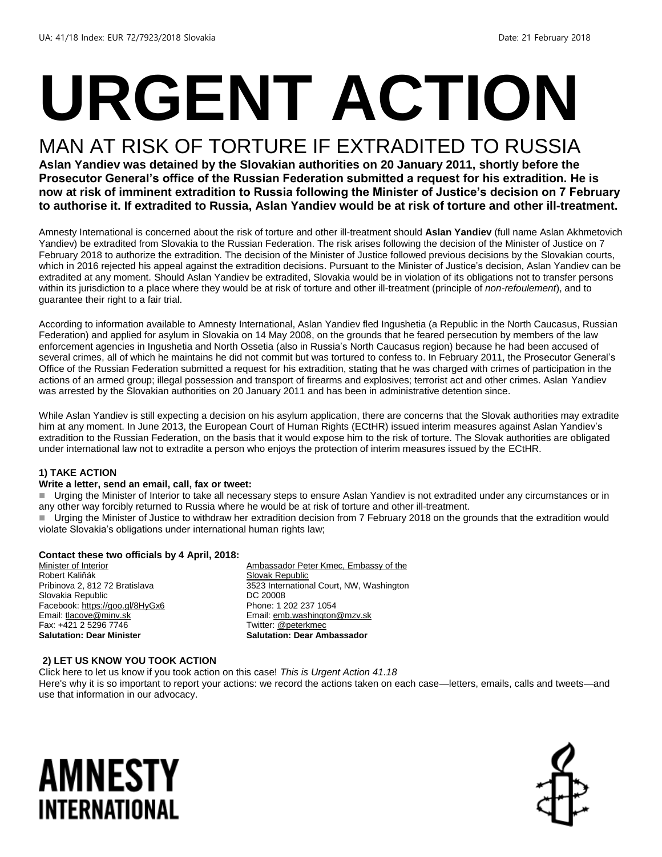# **URGENT ACTION**

## MAN AT RISK OF TORTURE IF EXTRADITED TO RUSSIA

**Aslan Yandiev was detained by the Slovakian authorities on 20 January 2011, shortly before the Prosecutor General's office of the Russian Federation submitted a request for his extradition. He is now at risk of imminent extradition to Russia following the Minister of Justice's decision on 7 February to authorise it. If extradited to Russia, Aslan Yandiev would be at risk of torture and other ill-treatment.**

Amnesty International is concerned about the risk of torture and other ill-treatment should **Aslan Yandiev** (full name Aslan Akhmetovich Yandiev) be extradited from Slovakia to the Russian Federation. The risk arises following the decision of the Minister of Justice on 7 February 2018 to authorize the extradition. The decision of the Minister of Justice followed previous decisions by the Slovakian courts, which in 2016 rejected his appeal against the extradition decisions. Pursuant to the Minister of Justice's decision, Aslan Yandiev can be extradited at any moment. Should Aslan Yandiev be extradited, Slovakia would be in violation of its obligations not to transfer persons within its jurisdiction to a place where they would be at risk of torture and other ill-treatment (principle of *non-refoulement*), and to guarantee their right to a fair trial.

According to information available to Amnesty International, Aslan Yandiev fled Ingushetia (a Republic in the North Caucasus, Russian Federation) and applied for asylum in Slovakia on 14 May 2008, on the grounds that he feared persecution by members of the law enforcement agencies in Ingushetia and North Ossetia (also in Russia's North Caucasus region) because he had been accused of several crimes, all of which he maintains he did not commit but was tortured to confess to. In February 2011, the Prosecutor General's Office of the Russian Federation submitted a request for his extradition, stating that he was charged with crimes of participation in the actions of an armed group; illegal possession and transport of firearms and explosives; terrorist act and other crimes. Aslan Yandiev was arrested by the Slovakian authorities on 20 January 2011 and has been in administrative detention since.

While Aslan Yandiev is still expecting a decision on his asylum application, there are concerns that the Slovak authorities may extradite him at any moment. In June 2013, the European Court of Human Rights (ECtHR) issued interim measures against Aslan Yandiev's extradition to the Russian Federation, on the basis that it would expose him to the risk of torture. The Slovak authorities are obligated under international law not to extradite a person who enjoys the protection of interim measures issued by the ECtHR.

#### **1) TAKE ACTION**

#### **Write a letter, send an email, call, fax or tweet:**

Urging the Minister of Interior to take all necessary steps to ensure Aslan Yandiev is not extradited under any circumstances or in any other way forcibly returned to Russia where he would be at risk of torture and other ill-treatment. Urging the Minister of Justice to withdraw her extradition decision from 7 February 2018 on the grounds that the extradition would violate Slovakia's obligations under international human rights law;

#### **Contact these two officials by 4 April, 2018:**

Minister of Interior Robert Kaliňák Pribinova 2, 812 72 Bratislava Slovakia Republic Facebook[: https://goo.gl/8HyGx6](https://goo.gl/8HyGx6) Email[: tlacove@minv.sk](mailto:tlacove@minv.sk) Fax: +421 2 5296 7746 **Salutation: Dear Minister**

Ambassador Peter Kmec, Embassy of the Slovak Republic 3523 International Court, NW, Washington DC 20008 Phone: 1 202 237 1054 Email[: emb.washington@mzv.sk](mailto:emb.washington@mzv.sk) Twitter[: @peterkmec](file:///C:/Users/iar3team/AppData/Local/Microsoft/Windows/INetCache/Content.Outlook/47QF1R6R/twitter.com/peterkmec) **Salutation: Dear Ambassador**

#### **2) LET US KNOW YOU TOOK ACTION**

Click here to let us know if you took action on this case! *This is Urgent Action 41.18* 

Here's why it is so important to report your actions: we record the actions taken on each case—letters, emails, calls and tweets—and use that information in our advocacy.

## AMNESTY INTERNATIONAL